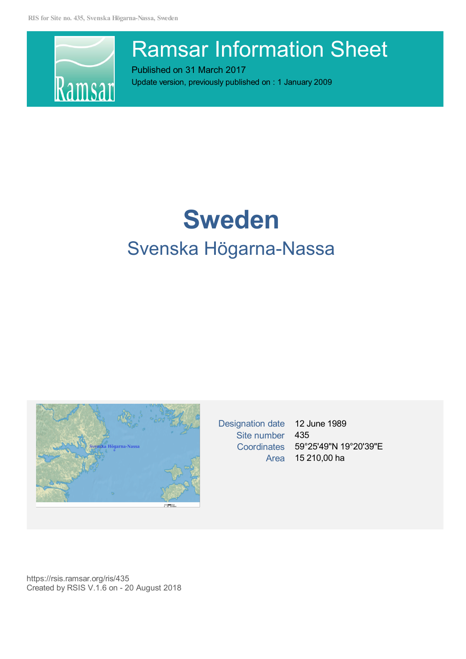

## Ramsar Information Sheet

Published on 31 March 2017 Update version, previously published on : 1 January 2009

# **Sweden** Svenska Högarna-Nassa



Designation date 12 June 1989 Site number 435 Coordinates 59°25'49"N 19°20'39"E Area 15 210,00 ha

https://rsis.ramsar.org/ris/435 Created by RSIS V.1.6 on - 20 August 2018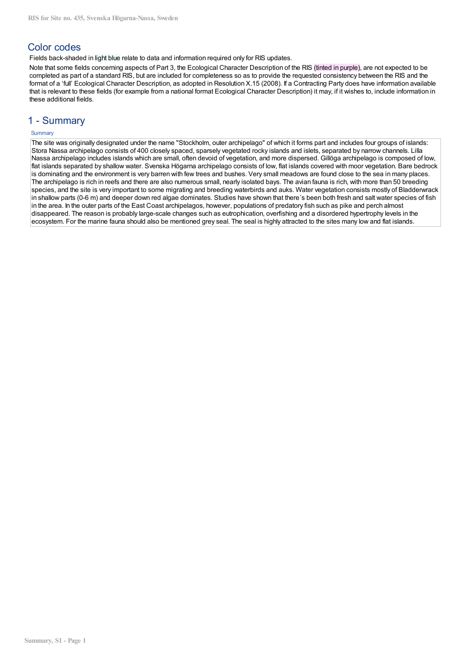## Color codes

Fields back-shaded in light blue relate to data and information required only for RIS updates.

Note that some fields concerning aspects of Part 3, the Ecological Character Description of the RIS (tinted in purple), are not expected to be completed as part of a standard RIS, but are included for completeness so as to provide the requested consistency between the RIS and the format of a 'full' Ecological Character Description, as adopted in Resolution X.15 (2008). If a Contracting Party does have information available that is relevant to these fields (for example from a national format Ecological Character Description) it may, if it wishes to, include information in these additional fields.

## 1 - Summary

## **Summary**

The site was originally designated under the name "Stockholm, outer archipelago" of which it forms part and includes four groups of islands: Stora Nassa archipelago consists of 400 closely spaced, sparsely vegetated rocky islands and islets, separated by narrow channels. Lilla Nassa archipelago includes islands which are small, often devoid of vegetation, and more dispersed. Gillöga archipelago is composed of low, flat islands separated by shallow water. Svenska Högarna archipelago consists of low, flat islands covered with moor vegetation. Bare bedrock is dominating and the environment is very barren with few trees and bushes. Very small meadows are found close to the sea in many places. The archipelago is rich in reefs and there are also numerous small, nearly isolated bays. The avian fauna is rich, with more than 50 breeding species, and the site is very important to some migrating and breeding waterbirds and auks. Water vegetation consists mostly of Bladderwrack in shallow parts (0-6 m) and deeper down red algae dominates. Studies have shown that there´s been both fresh and salt water species of fish in the area. In the outer parts of the East Coast archipelagos, however, populations of predatory fish such as pike and perch almost disappeared. The reason is probably large-scale changes such as eutrophication, overfishing and a disordered hypertrophy levels in the ecosystem. For the marine fauna should also be mentioned grey seal. The seal is highly attracted to the sites many low and flat islands.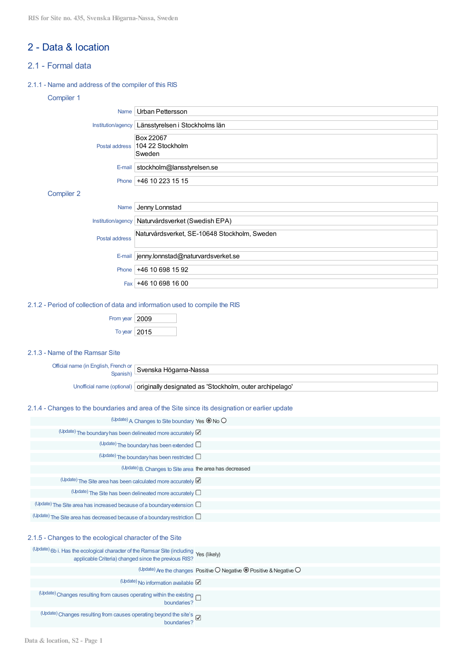## 2 - Data & location

## 2.1 - Formal data

## 2.1.1 - Name and address of the compiler of this RIS

## Compiler 1

| Name   | Urban Pettersson                                       |
|--------|--------------------------------------------------------|
|        | Institution/agency   Länsstyrelsen i Stockholms län    |
|        | Box 22067<br>Postal address 104 22 Stockholm<br>Sweden |
| E-mail | stockholm@lansstyrelsen.se                             |
| Phone  | +46 10 223 15 15                                       |
|        |                                                        |

## Compiler 2

|                | Name   Jenny Lonnstad                               |
|----------------|-----------------------------------------------------|
|                | Institution/agency   Naturvårdsverket (Swedish EPA) |
| Postal address | Naturvårdsverket, SE-10648 Stockholm, Sweden        |
|                | E-mail   jenny.lonnstad@naturvardsverket.se         |
|                | Phone $ +46$ 10 698 15 92                           |
| Fax            | +46 10 698 16 00                                    |

## 2.1.2 - Period of collection of data and information used to compile the RIS

| From year $ 2009$ |  |
|-------------------|--|
| To year $ 2015$   |  |

## 2.1.3 - Name of the Ramsar Site

| alıst | -Nassa<br>$\sim$<br>ົ້<br>. |
|-------|-----------------------------|
|       |                             |

Unofficial name (optional) originally designated as 'Stockholm, outer archipelago'

### 2.1.4 - Changes to the boundaries and area of the Site since its designation or earlier update

| (Update) A Changes to Site boundary Yes $\circledcirc$ No $\circlearrowright$                                                                  |  |
|------------------------------------------------------------------------------------------------------------------------------------------------|--|
| (Update) The boundary has been delineated more accurately                                                                                      |  |
| (Update) The boundary has been extended $\square$                                                                                              |  |
| (Update) The boundary has been restricted $\square$                                                                                            |  |
| (Update) B. Changes to Site area the area has decreased                                                                                        |  |
| (Update) The Site area has been calculated more accurately $\boxtimes$                                                                         |  |
| $\Box$ <sup>(Update)</sup> The Site has been delineated more accurately $\Box$                                                                 |  |
| (Update) The Site area has increased because of a boundary extension $\square$                                                                 |  |
| (Update) The Site area has decreased because of a boundary restriction $\square$                                                               |  |
| 2.1.5 - Changes to the ecological character of the Site                                                                                        |  |
| (Update) 6b i. Has the ecological character of the Ramsar Site (including Yes (likely)<br>applicable Criteria) changed since the previous RIS? |  |
| (Update) Are the changes Positive $O$ Negative $\odot$ Positive & Negative $O$                                                                 |  |
| $(U$ <sub>No</sub> information available                                                                                                       |  |
| (Update) Changes resulting from causes operating within the existing $\Box$<br>boundaries?                                                     |  |
| (Update) Changes resulting from causes operating beyond the site's<br>boundaries?                                                              |  |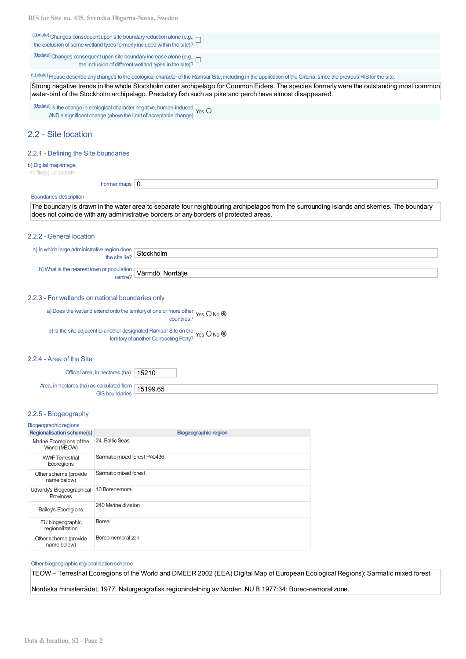| RIS for Site no. 435, Svenska Hogarna-Nassa, Sweden                                                                                                                  |                                                                                                                                                                                                                                                     |
|----------------------------------------------------------------------------------------------------------------------------------------------------------------------|-----------------------------------------------------------------------------------------------------------------------------------------------------------------------------------------------------------------------------------------------------|
| (Update) Changes consequent upon site boundary reduction alone (e.g., no<br>the exclusion of some wetland types formerly included within the site)?                  |                                                                                                                                                                                                                                                     |
| (Update) Changes consequent upon site boundary increase alone (e.g., no                                                                                              | the inclusion of different wetland types in the site)?                                                                                                                                                                                              |
|                                                                                                                                                                      | (Update) Please describe any changes to the ecological character of the Ramsar Site, including in the application of the Criteria, since the previous RIS for the site.                                                                             |
|                                                                                                                                                                      | Strong negative trends in the whole Stockholm outer archipelago for Common Eiders. The species formerly were the outstanding most common<br>water-bird of the Stockholm archipelago. Predatory fish such as pike and perch have almost disappeared. |
| (Update) Is the change in ecological character negative, human-induced $Y_{\text{es}}$ $\bigcirc$<br>AND a significant change (above the limit of acceptable change) |                                                                                                                                                                                                                                                     |
| 2.2 - Site location                                                                                                                                                  |                                                                                                                                                                                                                                                     |
| 2.2.1 - Defining the Site boundaries                                                                                                                                 |                                                                                                                                                                                                                                                     |
| b) Digital map/image<br><1 file(s) uploaded>                                                                                                                         |                                                                                                                                                                                                                                                     |
| Former maps   0                                                                                                                                                      |                                                                                                                                                                                                                                                     |
| Boundaries description                                                                                                                                               |                                                                                                                                                                                                                                                     |
| 2.2.2 - General location                                                                                                                                             | The boundary is drawn in the water area to separate four neighbouring archipelagos from the surrounding islands and skerries. The boundary<br>does not coincide with any administrative borders or any borders of protected areas.                  |
| a) In which large administrative region does                                                                                                                         | Stockholm                                                                                                                                                                                                                                           |
| the site lie?                                                                                                                                                        |                                                                                                                                                                                                                                                     |
| b) What is the nearest town or population<br>centre?                                                                                                                 | Värmdö, Norrtälje                                                                                                                                                                                                                                   |
| 2.2.3 - For wetlands on national boundaries only                                                                                                                     |                                                                                                                                                                                                                                                     |
|                                                                                                                                                                      | a) Does the wetland extend onto the territory of one or more other Yes $O$ No $\circledcirc$<br>countries?                                                                                                                                          |
|                                                                                                                                                                      | b) Is the site adjacent to another designated Ramsar Site on the Yes $O$ No $\circledcirc$<br>territory of another Contracting Party?                                                                                                               |
| 2.2.4 - Area of the Site                                                                                                                                             |                                                                                                                                                                                                                                                     |
| Official area, in hectares (ha):                                                                                                                                     | 15210                                                                                                                                                                                                                                               |
| Area, in hectares (ha) as calculated from<br>O(0.6)                                                                                                                  | 15199.65                                                                                                                                                                                                                                            |

## 2.2.5 - Biogeography

**GIS** boundaries

| Biogeographic regions                    |                              |
|------------------------------------------|------------------------------|
| <b>Regionalisation scheme(s)</b>         | <b>Biogeographic region</b>  |
| Marine Ecoregions of the<br>World (MEOW) | 24. Baltic Seas              |
| <b>WWF Terrestrial</b><br>Ecoregions     | Sarmatic mixed forest PA0436 |
| Other scheme (provide<br>name below)     | Sarmatic mixed forest        |
| Udvardy's Biogeographical<br>Provinces   | 10 Borenemoral               |
| Bailey's Ecoregions                      | 240 Marine division          |
| EU biogeographic<br>regionalization      | Boreal                       |
| Other scheme (provide<br>name below)     | Boreo-nemoral zon            |

#### Other biogeographic regionalisation scheme

TEOW – Terrestrial Ecoregions of the World and DMEER 2002 (EEA) Digital Map of European Ecological Regions): Sarmatic mixed forest

Nordiska ministerrådet, 1977. Naturgeografisk regionindelning av Norden. NU B 1977:34: Boreo-nemoral zone.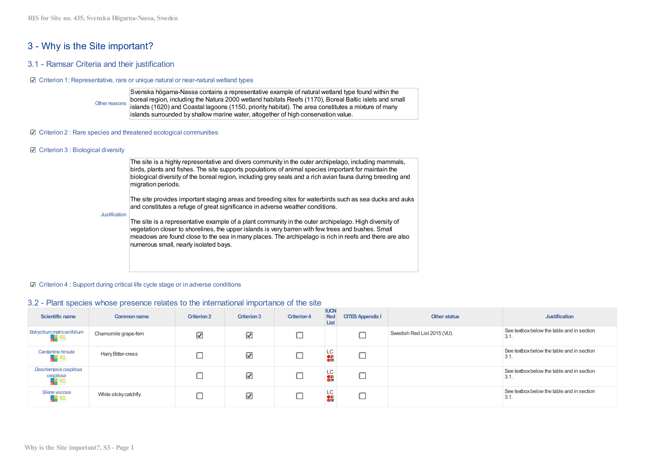## 3 - Why is the Site important?

#### 3.1 - Ramsar Criteria and their justification

#### ■ Criterion 1: Representative, rare or unique natural or near-natural wetland types

Other reasons Svenska högarna-Nassa contains a representative example of natural wetland type found within the boreal region, including the Natura 2000 wetland habitats Reefs (1170), Boreal Baltic islets and small islands (1620) and Coastal lagoons (1150, priority habitat). The area constitutes a mixture of many islands surrounded by shallow marine water, altogether of high conservation value.

#### $\boxtimes$  Criterion 2 : Rare species and threatened ecological communities

#### Criterion 3 : Biological diversity

The site is a highly representative and divers community in the outer archipelago, including mammals, birds, plants and fishes. The site supports populations of animal species important for maintain the biological diversity of the boreal region, including grey seals and a rich avian fauna during breeding and migration periods.

The site provides important staging areas and breeding sites for waterbirds such as sea ducks and auks and constitutes a refuge of great significance in adverse weather conditions.

#### Justification

The site is a representative example of a plant community in the outer archipelago. High diversity of vegetation closer to shorelines, the upper islands is very barren with few trees and bushes. Small meadows are found close to the sea in many places. The archipelago is rich in reefs and there are also numerous small, nearly isolated bays.

#### ■ Criterion 4 : Support during critical life cycle stage or in adverse conditions

#### 3.2 - Plant species whose presence relates to the international importance of the site

| Scientific name                         | Common name           | <b>Criterion 2</b>   | <b>Criterion 3</b> | <b>Criterion 4</b> | <b>IUCN</b><br>Red<br>List | <b>CITES Appendix I</b> | <b>Other status</b>         | <b>Justification</b>                               |
|-----------------------------------------|-----------------------|----------------------|--------------------|--------------------|----------------------------|-------------------------|-----------------------------|----------------------------------------------------|
| Botrychium matricariifolium<br>п.<br>v. | Chamomile grape-fern  | $\blacktriangledown$ | ☑                  |                    |                            |                         | Swedish Red List 2015 (VU). | See textbox below the table and in section<br>3.1. |
| Cardamine hirsuta<br><b>Ref</b> er      | Hairy Bitter-cress    |                      | ☑                  |                    | LC<br><b>OS</b>            | С                       |                             | See textbox below the table and in section<br>3.1. |
| Deschampsia cespitosa<br>cespitosa      |                       |                      | ☑                  |                    | LC<br><mark>이하</mark>      | С                       |                             | See textbox below the table and in section<br>3.1. |
| Silene viscosa<br>$\frac{1}{2}$ and     | White sticky catchfly |                      | ☑                  |                    | LC<br>O <sup>3</sup>       | С                       |                             | See textbox below the table and in section<br>3.1. |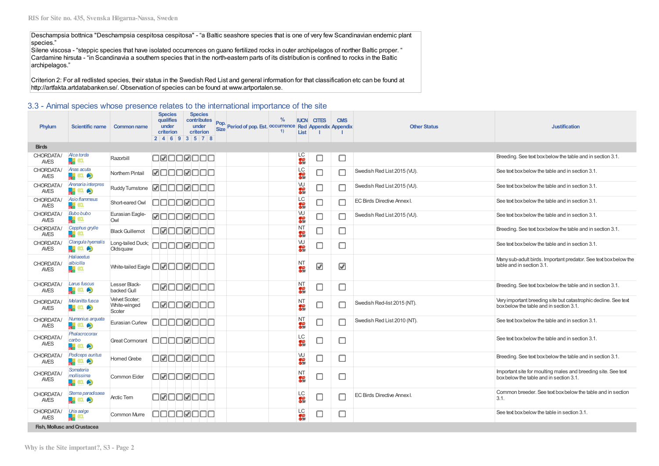Deschampsia bottnica "Deschampsia cespitosa cespitosa" - "a Baltic seashore species that is one of very few Scandinavian endemic plant species."

Silene viscosa - "steppic species that have isolated occurrences on guano fertilized rocks in outer archipelagos of norther Baltic proper. " Cardamine hirsuta - "in Scandinavia a southern species that in the north-eastern parts of its distribution is confined to rocks in the Baltic archipelagos."

Criterion 2: For all redlisted species, their status in the Swedish Red List and general information for that classification etc can be found at http://artfakta.artdatabanken.se/. Observation of species can be found at www.artportalen.se.

### 3.3 - Animal species whose presence relates to the international importance of the site

| Phylum                   | <b>Scientific name</b>                          | Common name                              | <b>Species</b><br><b>qualifies</b><br>under<br>criterion<br>2 4 6 9 3 5 7 8 |       | <b>Species</b><br>contributes<br>under<br>criterion | Pop.<br>Period of pop. Est. occurrence Red Appendix Appendix | %<br>1) | <b>IUCN</b><br>List               | <b>CITES</b> | <b>CMS</b> | <b>Other Status</b>               | <b>Justification</b>                                                                                       |
|--------------------------|-------------------------------------------------|------------------------------------------|-----------------------------------------------------------------------------|-------|-----------------------------------------------------|--------------------------------------------------------------|---------|-----------------------------------|--------------|------------|-----------------------------------|------------------------------------------------------------------------------------------------------------|
| <b>Birds</b>             |                                                 |                                          |                                                                             |       |                                                     |                                                              |         |                                   |              |            |                                   |                                                                                                            |
| CHORDATA/<br><b>AVES</b> | <b>Alca torda</b><br><mark>a</mark> d ea        | Razorbill                                | onoonoo                                                                     |       |                                                     |                                                              |         | <b>LC</b><br>88                   | С            | О          |                                   | Breeding. See text box below the table and in section 3.1.                                                 |
| CHORDATA/<br><b>AVES</b> | <b>Anas acuta</b><br>÷.<br>❷<br>61.             | Northern Pintail                         | <b>ØOOOØOOO</b>                                                             |       |                                                     |                                                              |         | <b>LC</b><br><b>SH</b>            | С            | Ò          | Swedish Red List 2015 (VU).       | See text box below the table and in section 3.1.                                                           |
| CHORDATA/<br><b>AVES</b> | Arenaria interpres<br>÷<br>$\bullet$<br>61.     | Ruddy Turnstone                          | 100000<br>ञ∈                                                                |       |                                                     |                                                              |         | W<br>$\frac{1}{2}$                | С            | О          | Swedish Red List 2015 (VU).       | See text box below the table and in section 3.1.                                                           |
| CHORDATA/<br><b>AVES</b> | Asio flammeus<br>۳                              | Short-eared Owl                          |                                                                             |       | 1000000                                             |                                                              |         | LC<br><b>SH</b>                   | С            | Ò          | EC Birds Directive Annex I.       | See text box below the table and in section 3.1.                                                           |
| CHORDATA/<br><b>AVES</b> | <b>Bubo bubo</b><br>÷                           | Eurasian Eagle-<br><b>Owl</b>            | <u> Muldinala</u>                                                           |       |                                                     |                                                              |         | W<br><b>Oä</b>                    | С            | О          | Swedish Red List 2015 (VU).       | See text box below the table and in section 3.1.                                                           |
| CHORDATA/<br><b>AVES</b> | Cepphus grylle                                  | <b>Black Guillemot</b>                   | <u> JØOOØOO</u>                                                             |       |                                                     |                                                              |         | <b>NT</b><br>os:                  | С            | С          |                                   | Breeding. See text box below the table and in section 3.1.                                                 |
| CHORDATA/<br><b>AVES</b> | Clangula hyemalis<br>黒紅の                        | Long-tailed Duck;<br>Oldsquaw            |                                                                             | 10000 |                                                     |                                                              |         | W<br><b>OS</b>                    | С            | O          |                                   | See text box below the table and in section 3.1.                                                           |
| CHORDATA/<br><b>AVES</b> | <b>Haliaeetus</b><br>albicilla<br><b>g</b> a ea | White-tailed Eagle <b>NG NG</b>          |                                                                             |       |                                                     |                                                              |         | <b>NT</b><br>$\bullet$            | ☑            | ⊽          |                                   | Many sub-adult birds. Important predator. See text box below the<br>table and in section 3.1.              |
| CHORDATA/<br><b>AVES</b> | Larus fuscus<br>黒紅の                             | Lesser Black-<br>backed Gull             | <b>JØOOØOOC</b>                                                             |       |                                                     |                                                              |         | NT<br>os<br>Olif                  | С            | О          |                                   | Breeding. See text box below the table and in section 3.1.                                                 |
| CHORDATA/<br><b>AVES</b> | Melanitta fusca<br><b>REAL</b>                  | Velvet Scoter;<br>White-winged<br>Scoter | OØ88888                                                                     |       |                                                     |                                                              |         | NT<br>os<br>Olif                  | c            | О          | Swedish Red-list 2015 (NT).       | Very important breeding site but catastrophic decline. See text<br>box below the table and in section 3.1. |
| CHORDATA/<br><b>AVES</b> | Numenius arquata<br>a en<br>$\bullet$           | Eurasian Curlew                          | 100000                                                                      |       |                                                     |                                                              |         | NT<br><b>OS</b>                   | С            | О          | Swedish Red List 2010 (NT).       | See text box below the table and in section 3.1.                                                           |
| CHORDATA/<br><b>AVES</b> | Phalacrocorax<br>carbo<br><b>Mad</b> A          | <b>Great Cormorant</b>                   |                                                                             |       | 1000000                                             |                                                              |         | <b>LC</b><br>OF                   | С            | С          |                                   | See text box below the table and in section 3.1.                                                           |
| CHORDATA/<br><b>AVES</b> | <b>Podiceps auritus</b><br><b>REAL</b> O        | <b>Horned Grebe</b>                      | 3000000                                                                     |       |                                                     |                                                              |         | W<br><b>OH</b>                    | С            | О          |                                   | Breeding. See text box below the table and in section 3.1.                                                 |
| CHORDATA<br>AVES         | Somateria<br>mollissima<br><b>HEL</b> 9         | Common Eider                             | <u>BROOROO</u>                                                              |       |                                                     |                                                              |         | <b>NT</b><br>$\overline{\bullet}$ | c            | O          |                                   | Important site for moulting males and breeding site. See text<br>box below the table and in section 3.1.   |
| CHORDATA/<br><b>AVES</b> | Sterna paradisaea<br>물이 60.<br>$\bullet$        | <b>Arctic Tern</b>                       | <b>DØOOØOO</b>                                                              |       |                                                     |                                                              |         | <b>LC</b><br>ON                   | С            | с          | <b>EC Birds Directive Annex I</b> | Common breeder. See text box below the table and in section<br>3.1.                                        |
| CHORDATA/<br><b>AVES</b> | Uria aalge                                      | Common Murre                             |                                                                             | IOØOO |                                                     |                                                              |         | <b>LC</b><br>ON                   | С            | С          |                                   | See text box below the table in section 3.1.                                                               |
|                          | <b>Fish. Mollusc and Crustacea</b>              |                                          |                                                                             |       |                                                     |                                                              |         |                                   |              |            |                                   |                                                                                                            |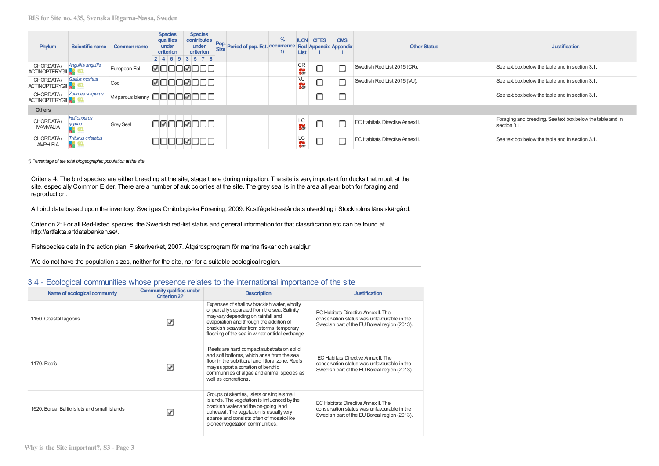| Phylum                              | Scientific name           | Common name                  | <b>Species</b><br>qualifies<br>under<br>criterion | 2 4 6 9 3 5 7 8   | <b>Species</b><br>contributes<br>under<br>criterion | Pop.<br>Period of pop. Est. Occurrence Red Appendix Appendix<br><b>Size</b> | %<br>1). | <b>IUCN</b><br>List | <b>CITES</b> | <b>CMS</b> | <b>Other Status</b>                    | <b>Justification</b>                                                       |
|-------------------------------------|---------------------------|------------------------------|---------------------------------------------------|-------------------|-----------------------------------------------------|-----------------------------------------------------------------------------|----------|---------------------|--------------|------------|----------------------------------------|----------------------------------------------------------------------------|
| CHORDATA/<br><b>ACTINOPTERYGIL</b>  | Anguilla anguilla         | European Eel                 | ा                                                 | ☑                 |                                                     |                                                                             |          | <b>CR</b><br>83     |              |            | Swedish Red List 2015 (CR).            | See text box below the table and in section 3.1.                           |
| CHORDATA/<br><b>ACTINOPTERYGILE</b> | Gadus morhua              | Cod                          | ြ∕∣<br>a ma                                       | 151               | . חרורי                                             |                                                                             |          | <b>WAS</b>          |              |            | Swedish Red List 2015 (VU).            | See text box below the table and in section 3.1.                           |
| CHORDATA/<br><b>ACTINOPTERYGIK</b>  | Zoarces viviparus         | Viviparous blenny <b>DOD</b> |                                                   | ▗▁▌ <b>▓▐▁▏</b> ▏ |                                                     |                                                                             |          |                     |              |            |                                        | See text box below the table and in section 3.1.                           |
| <b>Others</b>                       |                           |                              |                                                   |                   |                                                     |                                                                             |          |                     |              |            |                                        |                                                                            |
| CHORDATA/<br><b>MAMMALIA</b>        | Halichoerus<br>grypus     | <b>Grey Seal</b>             | 11 J                                              | 10 T              | חחר                                                 |                                                                             |          | LC<br><b>OS</b>     |              |            | <b>EC Habitats Directive Annex II.</b> | Foraging and breeding. See text box below the table and in<br>section 3.1. |
| CHORDATA/<br><b>AMPHIBIA</b>        | <b>Triturus cristatus</b> |                              |                                                   | V                 |                                                     |                                                                             |          | LC<br>$\bullet$     |              |            | <b>EC Habitats Directive Annex II.</b> | See text box below the table and in section 3.1.                           |

*1) Percentage of the total biogeographic population at the site*

Criteria 4: The bird species are either breeding at the site, stage there during migration. The site is very important for ducks that moult at the site, especially Common Eider. There are a number of auk colonies at the site. The grey seal is in the area all year both for foraging and reproduction.

All bird data based upon the inventory: Sveriges Ornitologiska Förening, 2009. Kustfågelsbeståndets utveckling i Stockholms läns skärgård.

Criterion 2: For all Red-listed species, the Swedish red-list status and general information for that classification etc can be found at http://artfakta.artdatabanken.se/.

Fishspecies data in the action plan: Fiskeriverket, 2007. Åtgärdsprogram för marina fiskar och skaldjur.

We do not have the population sizes, neither for the site, nor for a suitable ecological region.

#### 3.4 - Ecological communities whose presence relates to the international importance of the site

| Name of ecological community                 | <b>Community qualifies under</b><br>Criterion 2? | <b>Description</b>                                                                                                                                                                                                                                                           | <b>Justification</b>                                                                                                               |
|----------------------------------------------|--------------------------------------------------|------------------------------------------------------------------------------------------------------------------------------------------------------------------------------------------------------------------------------------------------------------------------------|------------------------------------------------------------------------------------------------------------------------------------|
| 1150. Coastal lagoons                        | ☑                                                | Expanses of shallow brackish water, wholly<br>or partially separated from the sea. Salinity<br>may vary depending on rainfall and<br>evaporation and through the addition of<br>brackish seawater from storms, temporary<br>flooding of the sea in winter or tidal exchange. | EC Habitats Directive Annex II. The<br>conservation status was unfavourable in the<br>Swedish part of the EU Boreal region (2013). |
| 1170. Reefs                                  | ⊽                                                | Reefs are hard compact substrata on solid<br>and soft bottoms, which arise from the sea<br>floor in the sublittoral and littoral zone. Reefs<br>may support a zonation of benthic<br>communities of algae and animal species as<br>well as concretions.                      | EC Habitats Directive Annex II. The<br>conservation status was unfavourable in the<br>Swedish part of the EU Boreal region (2013). |
| 1620. Boreal Baltic islets and small islands | ☑                                                | Groups of skerries, islets or single small<br>islands. The vegetation is influenced by the<br>brackish water and the on-going land<br>upheaval. The vegetation is usually very<br>sparse and consists often of mosaic-like<br>pioneer vegetation communities.                | EC Habitats Directive Annex II. The<br>conservation status was unfavourable in the<br>Swedish part of the EU Boreal region (2013). |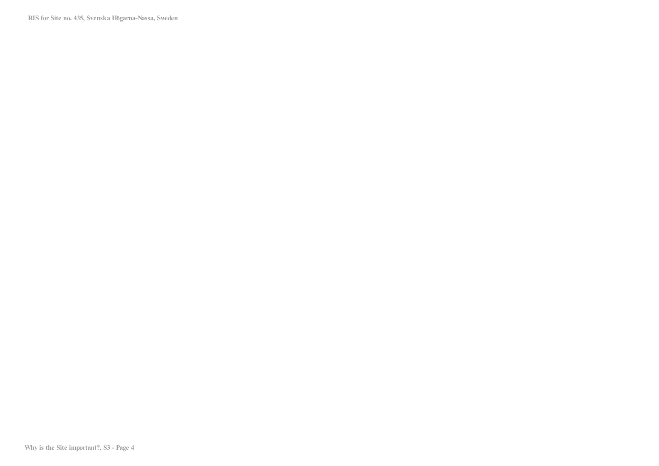**RIS for Site no. 435, Svenska Högarna-Nassa, Sweden**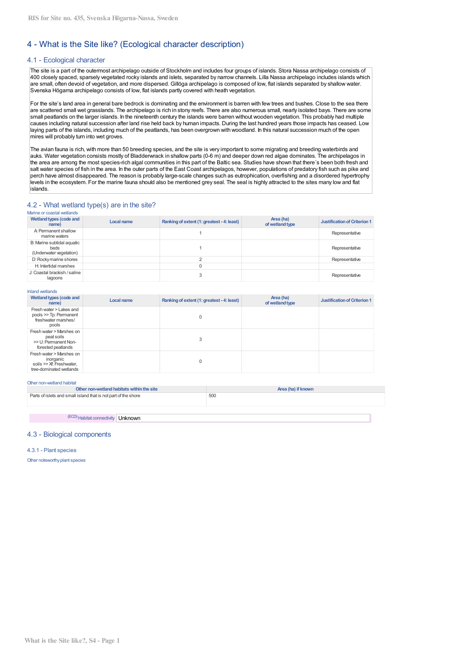## 4 - What is the Site like? (Ecological character description)

#### 4.1 - Ecological character

The site is a part of the outermost archipelago outside of Stockholm and includes four groups of islands. Stora Nassa archipelago consists of 400 closely spaced, sparsely vegetated rocky islands and islets, separated by narrow channels. Lilla Nassa archipelago includes islands which are small, often devoid of vegetation, and more dispersed. Gillöga archipelago is composed of low, flat islands separated by shallow water. Svenska Högarna archipelago consists of low, flat islands partly covered with heath vegetation.

For the site's land area in general bare bedrock is dominating and the environment is barren with few trees and bushes. Close to the sea there are scattered small wet grasslands. The archipelago is rich in stony reefs. There are also numerous small, nearly isolated bays. There are some small peatlands on the larger islands. In the nineteenth century the islands were barren without wooden vegetation. This probably had multiple causes including natural succession after land rise held back by human impacts. During the last hundred years those impacts has ceased. Low laying parts of the islands, including much of the peatlands, has been overgrown with woodland. In this natural succession much of the open mires will probably turn into wet groves.

The avian fauna is rich, with more than 50 breeding species, and the site is very important to some migrating and breeding waterbirds and auks. Water vegetation consists mostly of Bladderwrack in shallow parts (0-6 m) and deeper down red algae dominates. The archipelagos in the area are among the most species-rich algal communities in this part of the Baltic sea. Studies have shown that there´s been both fresh and salt water species of fish in the area. In the outer parts of the East Coast archipelagos, however, populations of predatory fish such as pike and perch have almost disappeared. The reason is probably large-scale changes such as eutrophication, overfishing and a disordered hypertrophy levels in the ecosystem. For the marine fauna should also be mentioned grey seal. The seal is highly attracted to the sites many low and flat islands.

#### 4.2 - What wetland type(s) are in the site?

#### Marine or coastal wetlands **Wetlandtypes (code and name) Local name Rankingof extent (1:greatest - 4:least) Area (ha)**

| name)                                                         | Local name | <b>Ranking of extent (1: greatest - 4: least)</b> | of wetland type | <b>JUSTIFICATION OF Criterion 1</b> |
|---------------------------------------------------------------|------------|---------------------------------------------------|-----------------|-------------------------------------|
| A: Permanent shallow<br>marine waters                         |            |                                                   |                 | Representative                      |
| B: Marine subtidal aquatic<br>beds<br>(Underwater vegetation) |            |                                                   |                 | Representative                      |
| D: Rocky marine shores                                        |            |                                                   |                 | Representative                      |
| H: Intertidal marshes                                         |            |                                                   |                 |                                     |
| J: Coastal brackish / saline<br>lagoons                       |            |                                                   |                 | Representative                      |

**Justificationof Criterion1**

#### Inland wetlands

| Wetland types (code and<br>name)                                                             | <b>Local name</b> | Ranking of extent (1: greatest - 4: least) | Area (ha)<br>of wetland type | <b>Justification of Criterion 1</b> |
|----------------------------------------------------------------------------------------------|-------------------|--------------------------------------------|------------------------------|-------------------------------------|
| Fresh water > Lakes and<br>pools >> Tp: Permanent<br>freshwater marshes/<br>pools            |                   |                                            |                              |                                     |
| Fresh water > Marshes on<br>peat soils<br>>> U: Permanent Non-<br>forested peatlands         |                   |                                            |                              |                                     |
| Fresh water > Marshes on<br>inorganic<br>soils >> Xf: Freshwater.<br>tree-dominated wetlands |                   |                                            |                              |                                     |

#### Other non-wetland habitat

| Other non-wetland habitats within the site                     | Area (ha) if known |
|----------------------------------------------------------------|--------------------|
| Parts of islets and small island that is not part of the shore | 500                |
|                                                                |                    |

(ECD) Habitat connectivity **Unknown** 

#### 4.3 - Biological components

4.3.1 - Plant species

Other noteworthy plant species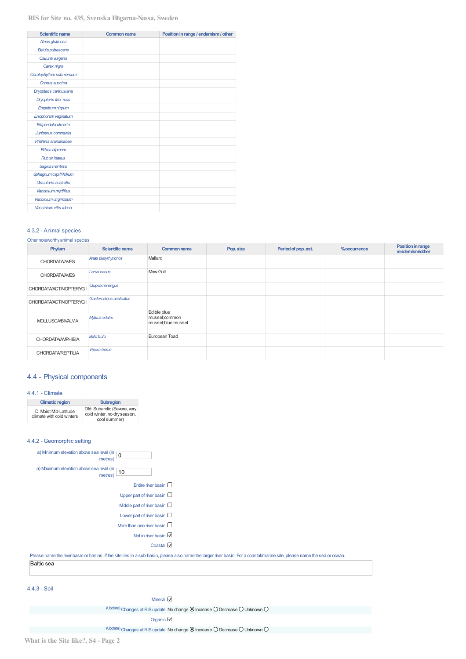| <b>Scientific name</b>      | Common name | Position in range / endemism / other |
|-----------------------------|-------------|--------------------------------------|
| Alnus glutinosa             |             |                                      |
| <b>Betula pubescens</b>     |             |                                      |
| Calluna vulgaris            |             |                                      |
| Carex nigra                 |             |                                      |
| Ceratophyllum submersum     |             |                                      |
| Cornus suecica              |             |                                      |
| Dryopteris carthusiana      |             |                                      |
| <b>Dryopteris filix-mas</b> |             |                                      |
| Empetrum nigrum             |             |                                      |
| Eriophorum vaginatum        |             |                                      |
| Filipendula ulmaria         |             |                                      |
| Juniperus communis          |             |                                      |
| Phalaris arundinacea        |             |                                      |
| <b>Ribes alpinum</b>        |             |                                      |
| Rubus idaeus                |             |                                      |
| Sagina maritima             |             |                                      |
| Sphagnum capillifolium      |             |                                      |
| Utricularia australis       |             |                                      |
| Vaccinium myrtillus         |             |                                      |
| Vaccinium uliginosum        |             |                                      |
| Vaccinium vitis-idaea       |             |                                      |

#### 4.3.2 - Animal species

#### Other noteworthyanimal species

| Phylum                   | <b>Scientific name</b> | <b>Common name</b>                                 | Pop. size | Period of pop. est. | %occurrence | Position in range<br>/endemism/other |
|--------------------------|------------------------|----------------------------------------------------|-----------|---------------------|-------------|--------------------------------------|
| <b>CHORDATA/AVES</b>     | Anas platyrhynchos     | Mallard                                            |           |                     |             |                                      |
| <b>CHORDATA/AVES</b>     | Larus canus            | Mew Gull                                           |           |                     |             |                                      |
| CHORDATA/ACTINOPTERYGII  | Clupea harengus        |                                                    |           |                     |             |                                      |
| CHORDATA/ACTINOPTERYGII  | Gasterosteus aculeatus |                                                    |           |                     |             |                                      |
| <b>MOLLUSCA/BIVALVIA</b> | Mytilus edulis         | Edible blue<br>mussel;common<br>mussel;blue mussel |           |                     |             |                                      |
| <b>CHORDATA/AMPHIBIA</b> | <b>Bufo bufo</b>       | European Toad                                      |           |                     |             |                                      |
| <b>CHORDATA/REPTILIA</b> | Vipera berus           |                                                    |           |                     |             |                                      |

## 4.4 - Physical components

#### 4.4.1 - Climate

| <b>Climatic region</b>                             | <b>Subregion</b>                                                            |
|----------------------------------------------------|-----------------------------------------------------------------------------|
| D: Moist Mid-Latitude<br>climate with cold winters | Dfd: Subarctic (Severe, very<br>cold winter, no dry season,<br>cool summer) |

#### 4.4.2 - Geomorphic setting



Baltic sea

#### 4.4.3 - Soil

| Mneral $\boxtimes$ |                                                                                                                                   |
|--------------------|-----------------------------------------------------------------------------------------------------------------------------------|
|                    | (Update) Changes at RIS update No change O Increase O Decrease O Unknown O                                                        |
| Organic M          |                                                                                                                                   |
|                    | $\omega_{\text{1}}$ <sup>(Update)</sup> Changes at RIS update No change $\odot$ Increase $\odot$ Decrease $\odot$ Unknown $\odot$ |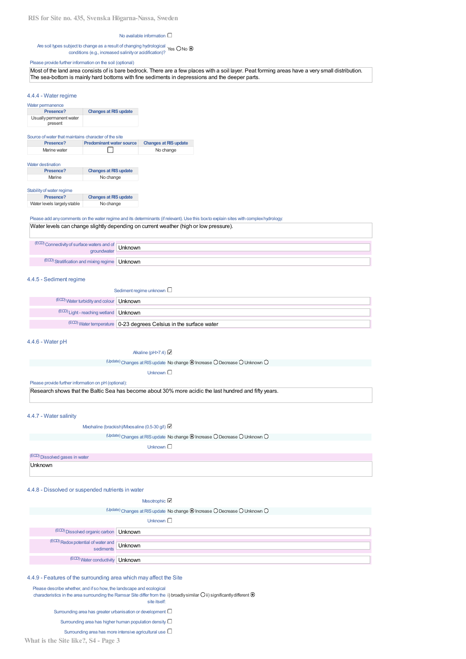#### No available information  $\square$

Are soil types subject to change as a result of changing hydrological<br>conditions (e.g., increased salinity or acidification)?

#### Please provide further information on the soil (optional)

Most of the land area consists of is bare bedrock. There are a few places with a soil layer. Peat forming areas have a very small distribution. The sea-bottom is mainly hard bottoms with fine sediments in depressions and the deeper parts.

#### 4.4.4 - Water regime

| Water permanence        |                              |
|-------------------------|------------------------------|
| Presence?               | <b>Changes at RIS update</b> |
| Usually permanent water |                              |
| present                 |                              |

| Source of water that maintains character of the site                         |  |           |  |
|------------------------------------------------------------------------------|--|-----------|--|
| <b>Predominant water source</b><br><b>Changes at RIS update</b><br>Presence? |  |           |  |
| Marine water                                                                 |  | No change |  |

Water destination<br>**Presence? Presence? Changes at RISupdate** Marine No change

Stability of water regime

| Presence?                   | <b>Changes at RIS update</b> |  |
|-----------------------------|------------------------------|--|
| Water levels largely stable | No change                    |  |

#### Please add any comments on the water regime and its determinants (if relevant). Use this box to explain sites with complex hydrology.

Water levels can change slightly depending on current weather (high or low pressure).

| (ECD) Connectivity of surface waters and of Unknown |  |
|-----------------------------------------------------|--|
| (ECD) Stratification and mixing regime Unknown      |  |

#### 4.4.5 - Sediment regime

Sediment regime unknown  $\square$ 

| (ECD) Water turbidity and colour Unknown |                                                                   |
|------------------------------------------|-------------------------------------------------------------------|
|                                          |                                                                   |
| (ECD) Light - reaching wetland   Unknown |                                                                   |
|                                          |                                                                   |
|                                          | (ECD) Water temperature 0-23 degrees Celsius in the surface water |

4.4.6 - Water pH

#### Alkaline (pH>7.4)

(Update) Changes at RIS update No change @ Increase O Decrease O Unknown O

Unknown  $\square$ 

Please provide further information on pH(optional):

Research shows that the Baltic Sea has become about 30% more acidic the last hundred and fifty years.

4.4.7 - Water salinity

#### Mixohaline (brackish)/Mixosaline (0.5-30 g/l)

 $U_{\text{N}}(U_{\text{N}})$  (Update) Changes at RIS update No change  $\textcircled{\blacksquare}$  Increase  $\textcircled{\blacksquare}$  Decrease  $\textcircled{\blacksquare}$  Unknown  $\textcircled{\blacksquare}$ 

#### Unknown  $\square$

(ECD) Dissolved gases in water

**Unknown** 

#### 4.4.8 - Dissolved or suspended nutrients in water

Mesotrophic 2

 $($ Update) Changes at RIS update No change  $\textcircled{\blacksquare}$  Increase  $\textcircled{\blacksquare}$  Decrease  $\textcircled{\blacksquare}$  Unknown  $\textcircled{\blacksquare}$ 

Unknown  $\square$ 

(ECD) Dissolved organic carbon Unknown

(ECD) Redox potential of water and<br>sediments Unknown

(ECD) Water conductivity Unknown

#### 4.4.9 - Features of the surrounding area which may affect the Site

Please describe whether, and if so how, the landscape and ecological

characteristics in the area surrounding the Ramsar Site differ from the  $\,$ i) broadly $\,$ similar  $\rm O$  ii) significantly $\,$ different  $\,$ site itself:

Surrounding area has greater urbanisation or development  $\Box$ 

Surrounding area has higher human population density  $\square$ 

Surrounding area has more intensive agricultural use  $\Box$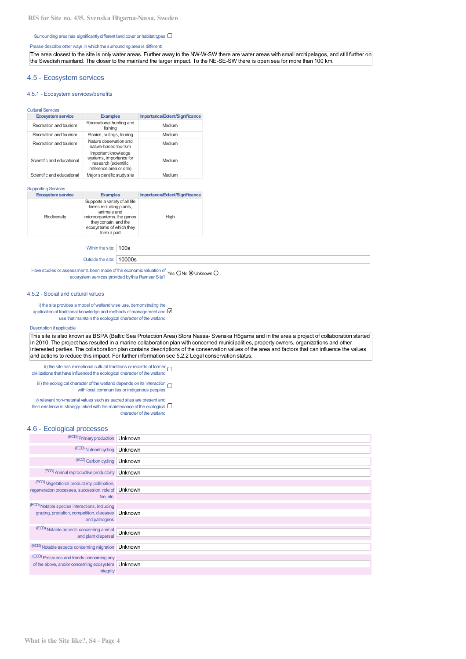#### Surrounding area has significantly different land cover or habitat types  $\Box$

#### Please describe other ways in which the surrounding area is different:

The area closest to the site is only water areas. Further away to the NW-W-SW there are water areas with small archipelagos, and still further on the Swedish mainland. The closer to the mainland the larger impact. To the NE-SE-SW there is open sea for more than 100 km.

#### 4.5 - Ecosystem services

#### 4.5.1 - Ecosystem services/benefits

Cultural Services

| <b>Ecosystem service</b>   | <b>Examples</b>                                                                                   | Importance/Extent/Significance |  |  |
|----------------------------|---------------------------------------------------------------------------------------------------|--------------------------------|--|--|
| Recreation and tourism     | Recreational hunting and<br>fishina                                                               | Medium                         |  |  |
| Recreation and tourism     | Picnics, outings, touring                                                                         | Medium                         |  |  |
| Recreation and tourism     | Nature observation and<br>nature-based tourism                                                    | Medium                         |  |  |
| Scientific and educational | Important knowledge<br>systems, importance for<br>research (scientific<br>reference area or site) | Medium                         |  |  |
| Scientific and educational | Major scientific study site                                                                       | Medium                         |  |  |

#### Supporting Services

| <b>Ecosystem service</b> | <b>Examples</b>                                                                                                                                                           | Importance/Extent/Significance |
|--------------------------|---------------------------------------------------------------------------------------------------------------------------------------------------------------------------|--------------------------------|
| Biodiversity             | Supports a variety of all life<br>forms including plants,<br>animals and<br>microorganizms, the genes<br>they contain, and the<br>ecosystems of which they<br>form a part | High                           |

Within the site: 100s Outside the site: 10000s

Have studies or assessments been made of the economic valuation of **Yes O No ® Unknown C**<br>ecosystem services provided by this Ramsar Site?

#### 4.5.2 - Social and cultural values

i) the site provides a model of wetland wise use, demonstrating the application of traditional knowledge and methods of management and  $\boxtimes$ use that maintain the ecological character of the wetland

Description if applicable

This site is also known as BSPA (Baltic Sea Protection Area) Stora Nassa- Svenska Högarna and in the area a project of collaboration started in 2010. The project has resulted in a marine collaboration plan with concerned municipalities, property owners, organizations and other interested parties. The collaboration plan contains descriptions of the conservation values of the area and factors that can influence the values and actions to reduce this impact. For further information see 5.2.2 Legal conservation status.

ii) the site has exceptional cultural traditions or records of former  $\Box$ civilizations that have influenced the ecological character of the wetland

iii) the ecological character of the wetland depends on its interaction  $\Box$ with local communities or indigenous peoples

iv) relevant non-material values such as sacred sites are present and their existence is strongly linked with the maintenance of the ecological  $\Box$ 

character of the wetland

#### 4.6 - Ecological processes

| (ECD) Primary production   Unknown                                                                                    |         |
|-----------------------------------------------------------------------------------------------------------------------|---------|
| (ECD) Nutrient cycling   Unknown                                                                                      |         |
| (ECD) Carbon cycling   Unknown                                                                                        |         |
| (ECD) Animal reproductive productivity   Unknown                                                                      |         |
| (ECD) Vegetational productivity, pollination,<br>regeneration processes, succession, role of Unknown<br>fire, etc.    |         |
| (ECD) Notable species interactions, including<br>grazing, predation, competition, diseases   Unknown<br>and pathogens |         |
| (ECD) Notable aspects concerning animal<br>and plant dispersal                                                        | Unknown |
| (ECD) Notable aspects concerning migration   Unknown                                                                  |         |
| (ECD) Pressures and trends concerning any<br>of the above, and/or concerning ecosystem   Unknown<br>integrity         |         |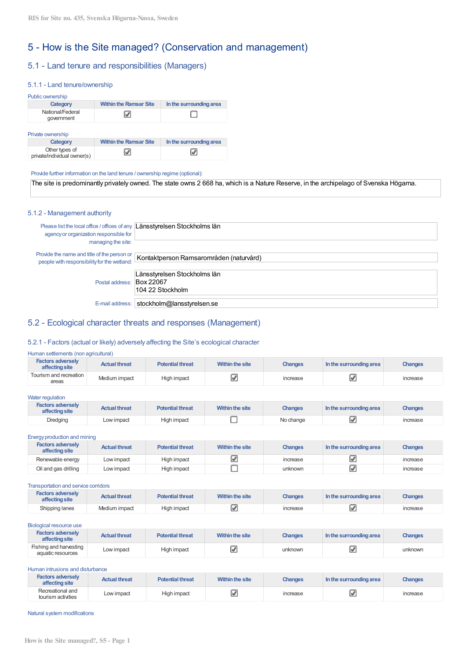## 5 - How is the Site managed? (Conservation and management)

## 5.1 - Land tenure and responsibilities (Managers)

#### 5.1.1 - Land tenure/ownership

| Public ownership               |                               |                         |
|--------------------------------|-------------------------------|-------------------------|
| Category                       | <b>Within the Ramsar Site</b> | In the surrounding area |
| National/Federal<br>government |                               |                         |

#### Private ownership

| Category                                      | <b>Within the Ramsar Site</b> | In the surrounding area |
|-----------------------------------------------|-------------------------------|-------------------------|
| Other types of<br>private/individual owner(s) |                               |                         |

#### Provide further information on the land tenure / ownership regime (optional):

The site is predominantly privately owned. The state owns 2 668 ha, which is a Nature Reserve, in the archipelago of Svenska Högarna.

#### 5.1.2 - Management authority

| Please list the local office / offices of any   Länsstyrelsen Stockholms län<br>agency or organization responsible for |                                                  |
|------------------------------------------------------------------------------------------------------------------------|--------------------------------------------------|
| managing the site:                                                                                                     |                                                  |
| Provide the name and title of the person or<br>people with responsibility for the wetland:                             | Kontaktperson Ramsarområden (naturvård)          |
| Postal address: Box 22067                                                                                              | Länsstyrelsen Stockholms län<br>104 22 Stockholm |
| E-mail address:                                                                                                        | stockholm@lansstyrelsen.se                       |

## 5.2 - Ecological character threats and responses (Management)

### 5.2.1 - Factors (actual or likely) adversely affecting the Site's ecological character

#### Human settlements (non agricultural)

| <b>Factors adversely</b><br>affecting site | <b>Actual threat</b> | <b>Potential threat</b> | Within the site | <b>Changes</b> | <b>In the surrounding area</b> | <b>Changes</b> |
|--------------------------------------------|----------------------|-------------------------|-----------------|----------------|--------------------------------|----------------|
| Tourism and recreation<br>areas            | Medium impact        | High impact             |                 | increase       |                                | increase       |

#### Water regulation

| <b>Factors adversely</b><br>affecting site | <b>Actual threat</b> | <b>Potential threat</b> | Within the site | <b>Changes</b> | In the surrounding area | <b>Changes</b> |
|--------------------------------------------|----------------------|-------------------------|-----------------|----------------|-------------------------|----------------|
| Dredging                                   | Low impact           | High impact             |                 | No change      |                         | increase       |

#### Energyproduction and mining

| <b>Factors adversely</b><br>affecting site | <b>Actual threat</b> | <b>Potential threat</b> | Within the site | <b>Changes</b> | In the surrounding area | <b>Changes</b> |
|--------------------------------------------|----------------------|-------------------------|-----------------|----------------|-------------------------|----------------|
| Renewable energy                           | Low impact           | High impact             |                 | increase       |                         | increase       |
| Oil and gas drilling                       | Low impact           | High impact             |                 | unknown        |                         | increase       |

#### Transportation and service corridors

| <b>Factors adversely</b><br>affecting site | <b>Actual threat</b> | <b>Potential threat</b> | Within the site | <b>Changes</b> | In the surrounding area | <b>Changes</b> |
|--------------------------------------------|----------------------|-------------------------|-----------------|----------------|-------------------------|----------------|
| Shipping lanes                             | Medium impact        | High impact             |                 | increase       | ⊻                       | increase       |

| Biological resource use |
|-------------------------|
|-------------------------|

| <b>Factors adversely</b><br>affecting site  | <b>Actual threat</b> | <b>Potential threat</b> | Within the site | <b>Changes</b> | In the surrounding area | <b>Changes</b> |
|---------------------------------------------|----------------------|-------------------------|-----------------|----------------|-------------------------|----------------|
| Fishing and harvesting<br>aquatic resources | Low impact           | High impact             |                 | unknown        |                         | unknown        |

#### Human intrusions and disturbance

| <b>Factors adversely</b><br>affecting site | <b>Actual threat</b> | <b>Potential threat</b> | Within the site | <b>Changes</b> | $\parallel$ In the surrounding area | <b>Changes</b> |
|--------------------------------------------|----------------------|-------------------------|-----------------|----------------|-------------------------------------|----------------|
| Recreational and<br>tourism activities     | Low impact           | High impact             |                 | increase       | ☑                                   | increase       |

Natural system modifications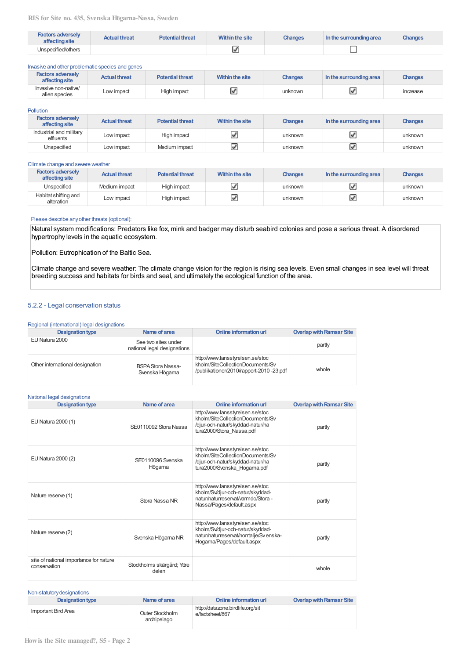| <b>Factors adverselv</b><br>affecting site | <b>Actual threat</b> | <b>Potential threat</b> | Within the site | <b>Changes</b> | In the surrounding area | <b>Changes</b> |
|--------------------------------------------|----------------------|-------------------------|-----------------|----------------|-------------------------|----------------|
| Unspecified/others                         |                      |                         |                 |                |                         |                |

#### Invasive and other problematic species and genes

| <b>Factors adversely</b><br>affecting site | <b>Actual threat</b> | <b>Potential threat</b> | Within the site | <b>Changes</b> | In the surrounding area | <b>Changes</b> |
|--------------------------------------------|----------------------|-------------------------|-----------------|----------------|-------------------------|----------------|
| Invasive non-native/<br>alien species      | Low impact           | High impact             |                 | unknown        |                         | increase       |

| <b>Pollution</b>                           |                      |                         |                 |                |                         |                |
|--------------------------------------------|----------------------|-------------------------|-----------------|----------------|-------------------------|----------------|
| <b>Factors adversely</b><br>affecting site | <b>Actual threat</b> | <b>Potential threat</b> | Within the site | <b>Changes</b> | In the surrounding area | <b>Changes</b> |
| Industrial and military<br>effluents       | Low impact           | High impact             |                 | unknown        | ☑                       | unknown        |
| Unspecified                                | Low impact           | Medium impact           |                 | unknown        | ☑                       | unknown        |

#### Climate change and severe weather

| <b>Factors adversely</b><br>affecting site | <b>Actual threat</b> | <b>Potential threat</b> | Within the site | <b>Changes</b> | In the surrounding area | <b>Changes</b> |
|--------------------------------------------|----------------------|-------------------------|-----------------|----------------|-------------------------|----------------|
| Unspecified                                | Medium impact        | High impact             |                 | unknown        |                         | unknown        |
| Habitat shifting and<br>alteration         | Low impact           | High impact             |                 | unknown        |                         | unknown        |

#### Please describe anyother threats (optional):

Natural system modifications: Predators like fox, mink and badger may disturb seabird colonies and pose a serious threat. A disordered hypertrophy levels in the aquatic ecosystem.

Pollution: Eutrophication of the Baltic Sea.

Climate change and severe weather: The climate change vision for the region is rising sea levels. Even small changes in sea level will threat breeding success and habitats for birds and seal, and ultimately the ecological function of the area.

#### 5.2.2 - Legal conservation status

| Regional (international) legal designations |                                                    |                                                                                                                  |                          |  |  |
|---------------------------------------------|----------------------------------------------------|------------------------------------------------------------------------------------------------------------------|--------------------------|--|--|
| <b>Designation type</b>                     | Name of area                                       | Online information url                                                                                           | Overlap with Ramsar Site |  |  |
| EU Natura 2000                              | See two sites under<br>national legal designations |                                                                                                                  | partly                   |  |  |
| Other international designation             | <b>BSPA Stora Nassa-</b><br>Svenska Högarna        | http://www.lansstyrelsen.se/stoc<br>kholm/SiteCollectionDocuments/Sv<br>/publikationer/2010/rapport-2010 -23.pdf | whole                    |  |  |

#### National legal designations

| <b>Designation type</b>                                | Name of area                        | <b>Online information url</b>                                                                                                                | <b>Overlap with Ramsar Site</b> |
|--------------------------------------------------------|-------------------------------------|----------------------------------------------------------------------------------------------------------------------------------------------|---------------------------------|
| EU Natura 2000 (1)                                     | SE0110092 Stora Nassa               | http://www.lansstyrelsen.se/stoc<br>kholm/SiteCollectionDocuments/Sv<br>/djur-och-natur/skyddad-natur/na<br>tura2000/Stora Nassa.pdf         | partly                          |
| EU Natura 2000 (2)                                     | SE0110096 Svenska<br>Högarna        | http://www.lansstyrelsen.se/stoc<br>kholm/SiteCollectionDocuments/Sv<br>/djur-och-natur/skyddad-natur/na<br>tura2000/Svenska Hogarna.pdf     | partly                          |
| Nature reserve (1)                                     | Stora Nassa NR                      | http://www.lansstyrelsen.se/stoc<br>kholm/Sv/djur-och-natur/skyddad-<br>natur/naturreservat/varmdo/Stora -<br>Nassa/Pages/default.aspx       | partly                          |
| Nature reserve (2)                                     | Svenska Högarna NR                  | http://www.lansstyrelsen.se/stoc<br>kholm/Sv/djur-och-natur/skyddad-<br>natur/naturreservat/norrtalje/Svenska-<br>Hogarna/Pages/default.aspx | partly                          |
| site of national importance for nature<br>conservation | Stockholms skärgård; Yttre<br>delen |                                                                                                                                              | whole                           |

| Non-statutory designations |                                |                                                     |                          |
|----------------------------|--------------------------------|-----------------------------------------------------|--------------------------|
| <b>Designation type</b>    | Name of area                   | Online information url                              | Overlap with Ramsar Site |
| Important Bird Area        | Outer Stockholm<br>archipelago | http://datazone.birdlife.org/sit<br>e/factsheet/867 |                          |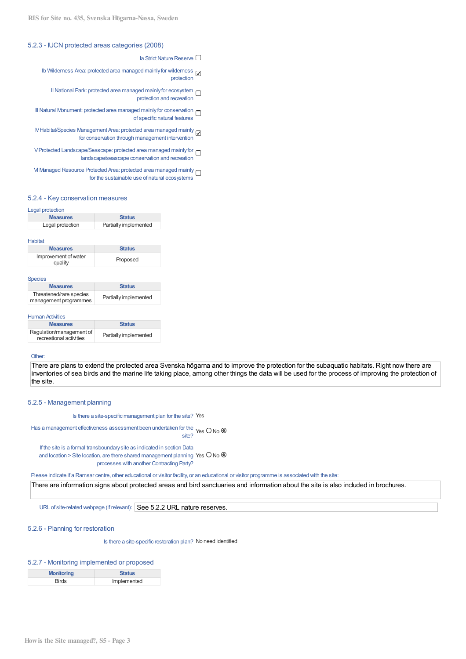#### 5.2.3 - IUCN protected areas categories (2008)

 $Ia$  Strict Nature Reserve  $\Box$ 

- Ib Wilderness Area: protected area managed mainly for wilderness protection
	- II National Park: protected area managed mainly for ecosystem protection and recreation
- III Natural Monument: protected area managed mainly for conservation  $\square$ of specific natural features
- IV Habitat/Species Management Area: protected area managed mainly for conservation through management intervention
- VProtected Landscape/Seascape: protected area managed mainly for  $\Box$ landscape/seascape conservation and recreation
- VI Managed Resource Protected Area: protected area managed mainly for the sustainable use of natural ecosystems

#### 5.2.4 - Key conservation measures

#### Legal protection

| Partially implemented |
|-----------------------|
|                       |

#### Habitat

| <b>Measures</b>                 | <b>Status</b> |
|---------------------------------|---------------|
| Improvement of water<br>quality | Proposed      |

#### Species

| <b>Measures</b>         | <b>Status</b>         |
|-------------------------|-----------------------|
| Threatened/rare species | Partially implemented |
| management programmes   |                       |

#### **Human Activities**

| <b>Measures</b>                                     | <b>Status</b>         |
|-----------------------------------------------------|-----------------------|
| Regulation/management of<br>recreational activities | Partially implemented |

#### **Other**

There are plans to extend the protected area Svenska högarna and to improve the protection for the subaquatic habitats. Right now there are inventories of sea birds and the marine life taking place, among other things the data will be used for the process of improving the protection of the site.

#### 5.2.5 - Management planning

Is there a site-specific management plan for the site? Yes

Has a management effectiveness assessment been undertaken for the Yes  $\overline{O}$  No ( site?

If the site is a formal transboundarysite as indicated in section Data and location > Site location, are there shared management planning Yes  $\mathsf O$  No  $\mathsf C$ processes with another Contracting Party?

Please indicate if a Ramsar centre, other educational or visitor facility, or an educational or visitor programme is associated with the site:

There are information signs about protected areas and bird sanctuaries and information about the site is also included in brochures.

URL of site-related webpage (if relevant): See 5.2.2 URL nature reserves

#### 5.2.6 - Planning for restoration

Is there a site-specific restoration plan? No need identified

#### 5.2.7 - Monitoring implemented or proposed

| <b>Monitoring</b> | <b>Status</b> |
|-------------------|---------------|
|                   | Implemented   |